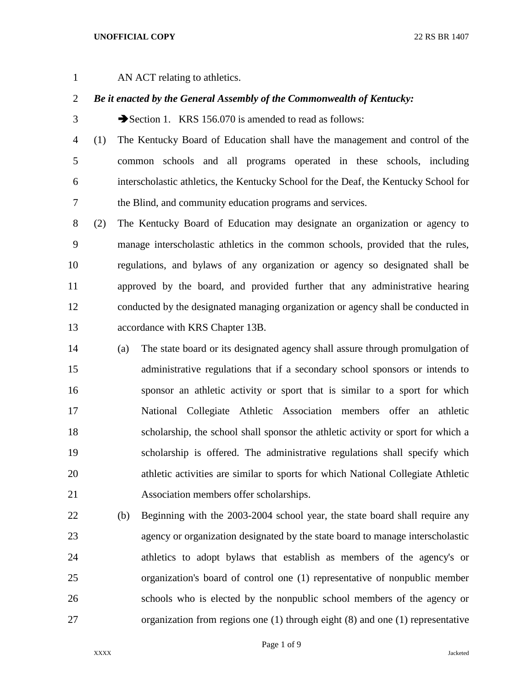## **UNOFFICIAL COPY** 22 RS BR 1407

1 AN ACT relating to athletics.

## *Be it enacted by the General Assembly of the Commonwealth of Kentucky:*

3 Section 1. KRS 156.070 is amended to read as follows:

 (1) The Kentucky Board of Education shall have the management and control of the common schools and all programs operated in these schools, including interscholastic athletics, the Kentucky School for the Deaf, the Kentucky School for the Blind, and community education programs and services.

 (2) The Kentucky Board of Education may designate an organization or agency to manage interscholastic athletics in the common schools, provided that the rules, regulations, and bylaws of any organization or agency so designated shall be approved by the board, and provided further that any administrative hearing conducted by the designated managing organization or agency shall be conducted in accordance with KRS Chapter 13B.

- (a) The state board or its designated agency shall assure through promulgation of administrative regulations that if a secondary school sponsors or intends to sponsor an athletic activity or sport that is similar to a sport for which National Collegiate Athletic Association members offer an athletic scholarship, the school shall sponsor the athletic activity or sport for which a scholarship is offered. The administrative regulations shall specify which athletic activities are similar to sports for which National Collegiate Athletic Association members offer scholarships.
- (b) Beginning with the 2003-2004 school year, the state board shall require any agency or organization designated by the state board to manage interscholastic athletics to adopt bylaws that establish as members of the agency's or organization's board of control one (1) representative of nonpublic member schools who is elected by the nonpublic school members of the agency or organization from regions one (1) through eight (8) and one (1) representative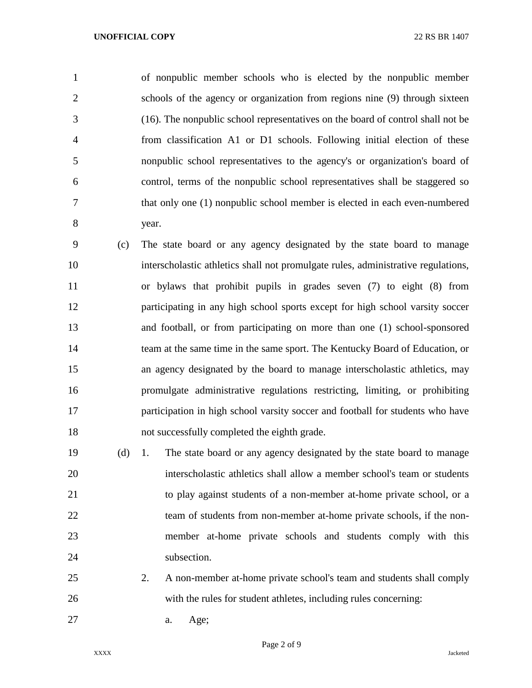of nonpublic member schools who is elected by the nonpublic member schools of the agency or organization from regions nine (9) through sixteen (16). The nonpublic school representatives on the board of control shall not be from classification A1 or D1 schools. Following initial election of these nonpublic school representatives to the agency's or organization's board of control, terms of the nonpublic school representatives shall be staggered so that only one (1) nonpublic school member is elected in each even-numbered year.

 (c) The state board or any agency designated by the state board to manage interscholastic athletics shall not promulgate rules, administrative regulations, or bylaws that prohibit pupils in grades seven (7) to eight (8) from participating in any high school sports except for high school varsity soccer and football, or from participating on more than one (1) school-sponsored team at the same time in the same sport. The Kentucky Board of Education, or an agency designated by the board to manage interscholastic athletics, may promulgate administrative regulations restricting, limiting, or prohibiting participation in high school varsity soccer and football for students who have not successfully completed the eighth grade.

 (d) 1. The state board or any agency designated by the state board to manage interscholastic athletics shall allow a member school's team or students to play against students of a non-member at-home private school, or a 22 team of students from non-member at-home private schools, if the non- member at-home private schools and students comply with this 24 subsection.

- 2. A non-member at-home private school's team and students shall comply with the rules for student athletes, including rules concerning:
- a. Age;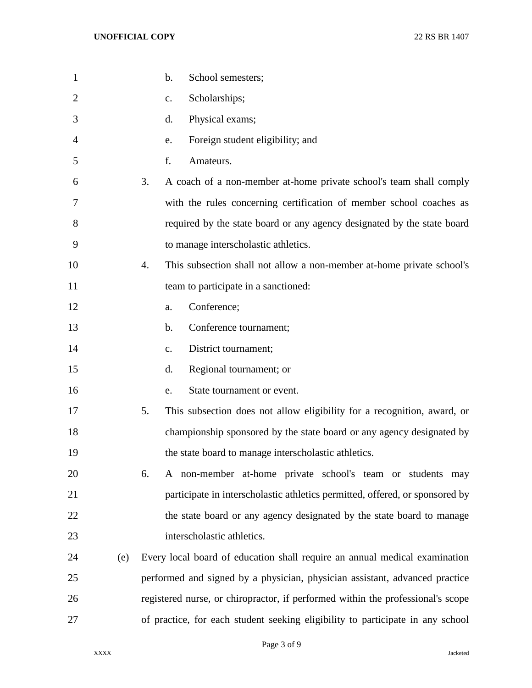| $\mathbf{1}$   |     | b.<br>School semesters;                                                         |
|----------------|-----|---------------------------------------------------------------------------------|
| $\overline{2}$ |     | Scholarships;<br>$C_{\bullet}$                                                  |
| 3              |     | Physical exams;<br>d.                                                           |
| 4              |     | Foreign student eligibility; and<br>e.                                          |
| 5              |     | f.<br>Amateurs.                                                                 |
| 6              |     | A coach of a non-member at-home private school's team shall comply<br>3.        |
| 7              |     | with the rules concerning certification of member school coaches as             |
| 8              |     | required by the state board or any agency designated by the state board         |
| 9              |     | to manage interscholastic athletics.                                            |
| 10             |     | 4.<br>This subsection shall not allow a non-member at-home private school's     |
| 11             |     | team to participate in a sanctioned:                                            |
| 12             |     | Conference;<br>a.                                                               |
| 13             |     | Conference tournament;<br>b.                                                    |
| 14             |     | District tournament;<br>c.                                                      |
| 15             |     | Regional tournament; or<br>d.                                                   |
| 16             |     | State tournament or event.<br>e.                                                |
| 17             |     | 5.<br>This subsection does not allow eligibility for a recognition, award, or   |
| 18             |     | championship sponsored by the state board or any agency designated by           |
| 19             |     | the state board to manage interscholastic athletics.                            |
| 20             |     | A non-member at-home private school's team or students may<br>6.                |
| 21             |     | participate in interscholastic athletics permitted, offered, or sponsored by    |
| 22             |     | the state board or any agency designated by the state board to manage           |
| 23             |     | interscholastic athletics.                                                      |
| 24             | (e) | Every local board of education shall require an annual medical examination      |
| 25             |     | performed and signed by a physician, physician assistant, advanced practice     |
| 26             |     | registered nurse, or chiropractor, if performed within the professional's scope |
| 27             |     | of practice, for each student seeking eligibility to participate in any school  |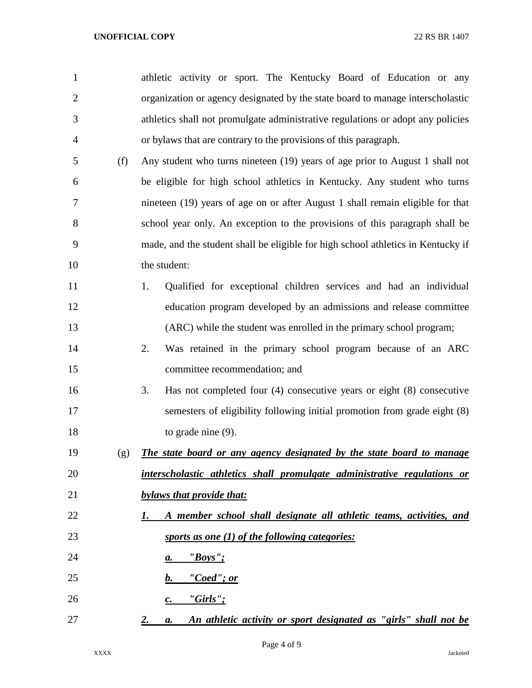| $\mathbf{1}$   |     | athletic activity or sport. The Kentucky Board of Education or any                  |
|----------------|-----|-------------------------------------------------------------------------------------|
| $\overline{2}$ |     | organization or agency designated by the state board to manage interscholastic      |
| 3              |     | athletics shall not promulgate administrative regulations or adopt any policies     |
| 4              |     | or bylaws that are contrary to the provisions of this paragraph.                    |
| 5              | (f) | Any student who turns nineteen (19) years of age prior to August 1 shall not        |
| 6              |     | be eligible for high school athletics in Kentucky. Any student who turns            |
| 7              |     | nineteen (19) years of age on or after August 1 shall remain eligible for that      |
| 8              |     | school year only. An exception to the provisions of this paragraph shall be         |
| 9              |     | made, and the student shall be eligible for high school athletics in Kentucky if    |
| 10             |     | the student:                                                                        |
| 11             |     | Qualified for exceptional children services and had an individual<br>1.             |
| 12             |     | education program developed by an admissions and release committee                  |
| 13             |     | (ARC) while the student was enrolled in the primary school program;                 |
| 14             |     | Was retained in the primary school program because of an ARC<br>2.                  |
| 15             |     | committee recommendation; and                                                       |
| 16             |     | Has not completed four $(4)$ consecutive years or eight $(8)$ consecutive<br>3.     |
| 17             |     | semesters of eligibility following initial promotion from grade eight (8)           |
| 18             |     | to grade nine $(9)$ .                                                               |
| 19             | (g) | The state board or any agency designated by the state board to manage               |
| 20             |     | interscholastic athletics shall promulgate administrative regulations or            |
| 21             |     | bylaws that provide that:                                                           |
| 22             |     | A member school shall designate all athletic teams, activities, and<br>1.           |
| 23             |     | sports as one $(1)$ of the following categories:                                    |
| 24             |     | "Boys";<br>а.                                                                       |
| 25             |     | "Coed"; or<br>b.                                                                    |
| 26             |     | "Girls";<br>$\boldsymbol{c}$ .                                                      |
| 27             |     | An athletic activity or sport designated as "girls" shall not be<br><u>2.</u><br>a. |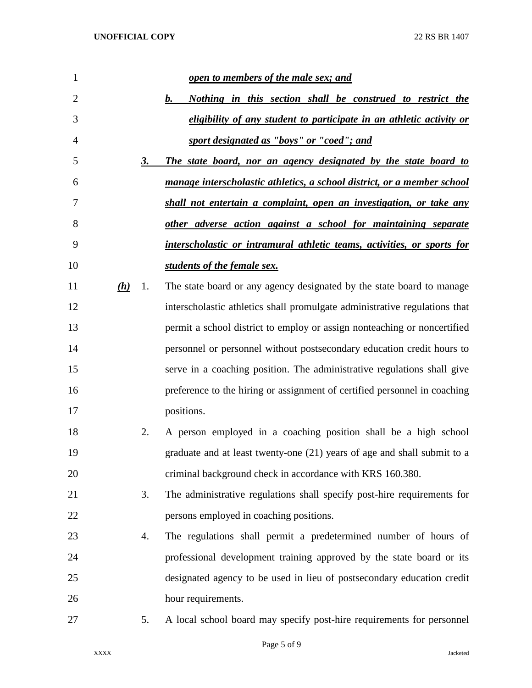| 1              |     |    | open to members of the male sex; and                                       |
|----------------|-----|----|----------------------------------------------------------------------------|
| $\overline{2}$ |     |    | b.<br>Nothing in this section shall be construed to restrict the           |
| 3              |     |    | eligibility of any student to participate in an athletic activity or       |
| 4              |     |    | sport designated as "boys" or "coed"; and                                  |
| 5              |     | 3. | The state board, nor an agency designated by the state board to            |
| 6              |     |    | manage interscholastic athletics, a school district, or a member school    |
| 7              |     |    | shall not entertain a complaint, open an investigation, or take any        |
| 8              |     |    | other adverse action against a school for maintaining separate             |
| 9              |     |    | interscholastic or intramural athletic teams, activities, or sports for    |
| 10             |     |    | students of the female sex.                                                |
| 11             | (h) | 1. | The state board or any agency designated by the state board to manage      |
| 12             |     |    | interscholastic athletics shall promulgate administrative regulations that |
| 13             |     |    | permit a school district to employ or assign nonteaching or noncertified   |
| 14             |     |    | personnel or personnel without postsecondary education credit hours to     |
| 15             |     |    | serve in a coaching position. The administrative regulations shall give    |
| 16             |     |    | preference to the hiring or assignment of certified personnel in coaching  |
| 17             |     |    | positions.                                                                 |
| 18             |     | 2. | A person employed in a coaching position shall be a high school            |
| 19             |     |    | graduate and at least twenty-one (21) years of age and shall submit to a   |
| 20             |     |    | criminal background check in accordance with KRS 160.380.                  |
| 21             |     | 3. | The administrative regulations shall specify post-hire requirements for    |
| 22             |     |    | persons employed in coaching positions.                                    |
| 23             |     | 4. | The regulations shall permit a predetermined number of hours of            |
| 24             |     |    | professional development training approved by the state board or its       |
| 25             |     |    | designated agency to be used in lieu of postsecondary education credit     |
| 26             |     |    | hour requirements.                                                         |
| 27             |     | 5. | A local school board may specify post-hire requirements for personnel      |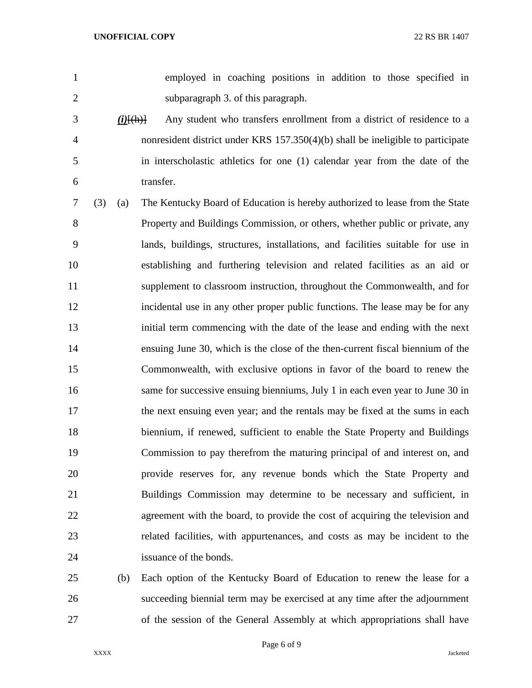employed in coaching positions in addition to those specified in subparagraph 3. of this paragraph.

- *(i)*[(h)] Any student who transfers enrollment from a district of residence to a nonresident district under KRS 157.350(4)(b) shall be ineligible to participate in interscholastic athletics for one (1) calendar year from the date of the transfer.
- (3) (a) The Kentucky Board of Education is hereby authorized to lease from the State Property and Buildings Commission, or others, whether public or private, any lands, buildings, structures, installations, and facilities suitable for use in establishing and furthering television and related facilities as an aid or supplement to classroom instruction, throughout the Commonwealth, and for incidental use in any other proper public functions. The lease may be for any initial term commencing with the date of the lease and ending with the next ensuing June 30, which is the close of the then-current fiscal biennium of the Commonwealth, with exclusive options in favor of the board to renew the same for successive ensuing bienniums, July 1 in each even year to June 30 in the next ensuing even year; and the rentals may be fixed at the sums in each biennium, if renewed, sufficient to enable the State Property and Buildings Commission to pay therefrom the maturing principal of and interest on, and provide reserves for, any revenue bonds which the State Property and Buildings Commission may determine to be necessary and sufficient, in agreement with the board, to provide the cost of acquiring the television and related facilities, with appurtenances, and costs as may be incident to the issuance of the bonds.
- (b) Each option of the Kentucky Board of Education to renew the lease for a succeeding biennial term may be exercised at any time after the adjournment of the session of the General Assembly at which appropriations shall have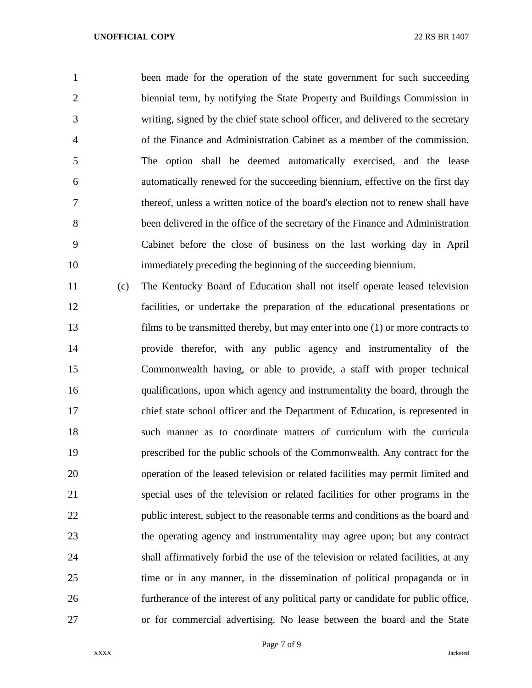## **UNOFFICIAL COPY** 22 RS BR 1407

1 been made for the operation of the state government for such succeeding biennial term, by notifying the State Property and Buildings Commission in writing, signed by the chief state school officer, and delivered to the secretary of the Finance and Administration Cabinet as a member of the commission. The option shall be deemed automatically exercised, and the lease automatically renewed for the succeeding biennium, effective on the first day thereof, unless a written notice of the board's election not to renew shall have been delivered in the office of the secretary of the Finance and Administration Cabinet before the close of business on the last working day in April immediately preceding the beginning of the succeeding biennium.

 (c) The Kentucky Board of Education shall not itself operate leased television facilities, or undertake the preparation of the educational presentations or films to be transmitted thereby, but may enter into one (1) or more contracts to provide therefor, with any public agency and instrumentality of the Commonwealth having, or able to provide, a staff with proper technical qualifications, upon which agency and instrumentality the board, through the chief state school officer and the Department of Education, is represented in such manner as to coordinate matters of curriculum with the curricula prescribed for the public schools of the Commonwealth. Any contract for the operation of the leased television or related facilities may permit limited and special uses of the television or related facilities for other programs in the public interest, subject to the reasonable terms and conditions as the board and the operating agency and instrumentality may agree upon; but any contract shall affirmatively forbid the use of the television or related facilities, at any time or in any manner, in the dissemination of political propaganda or in furtherance of the interest of any political party or candidate for public office, or for commercial advertising. No lease between the board and the State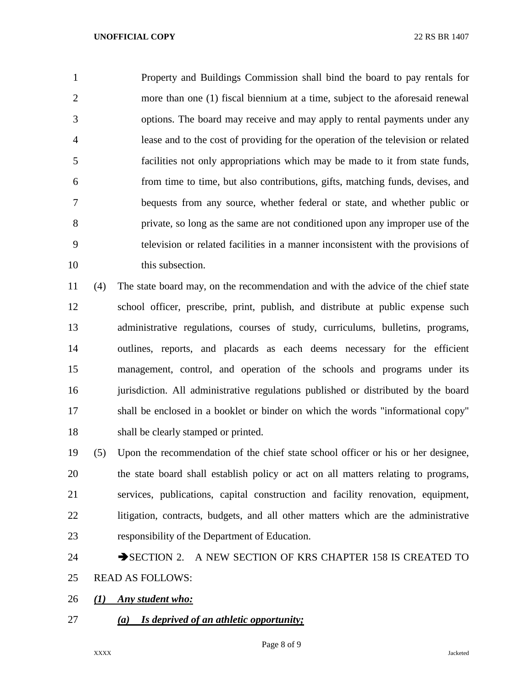Property and Buildings Commission shall bind the board to pay rentals for more than one (1) fiscal biennium at a time, subject to the aforesaid renewal options. The board may receive and may apply to rental payments under any lease and to the cost of providing for the operation of the television or related facilities not only appropriations which may be made to it from state funds, from time to time, but also contributions, gifts, matching funds, devises, and bequests from any source, whether federal or state, and whether public or private, so long as the same are not conditioned upon any improper use of the television or related facilities in a manner inconsistent with the provisions of 10 this subsection.

 (4) The state board may, on the recommendation and with the advice of the chief state school officer, prescribe, print, publish, and distribute at public expense such administrative regulations, courses of study, curriculums, bulletins, programs, outlines, reports, and placards as each deems necessary for the efficient management, control, and operation of the schools and programs under its jurisdiction. All administrative regulations published or distributed by the board shall be enclosed in a booklet or binder on which the words "informational copy" shall be clearly stamped or printed.

 (5) Upon the recommendation of the chief state school officer or his or her designee, the state board shall establish policy or act on all matters relating to programs, services, publications, capital construction and facility renovation, equipment, litigation, contracts, budgets, and all other matters which are the administrative responsibility of the Department of Education.

## 24 SECTION 2. A NEW SECTION OF KRS CHAPTER 158 IS CREATED TO READ AS FOLLOWS:

- *(1) Any student who:*
- *(a) Is deprived of an athletic opportunity;*